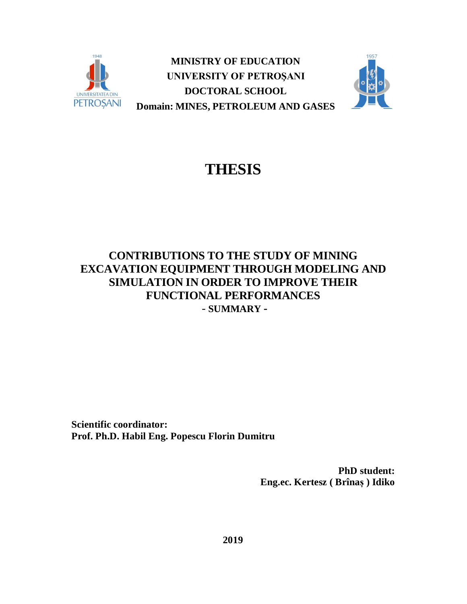

**MINISTRY OF EDUCATION UNIVERSITY OF PETROŞANI DOCTORAL SCHOOL Domain: MINES, PETROLEUM AND GASES**



# **THESIS**

# **CONTRIBUTIONS TO THE STUDY OF MINING EXCAVATION EQUIPMENT THROUGH MODELING AND SIMULATION IN ORDER TO IMPROVE THEIR FUNCTIONAL PERFORMANCES** - **SUMMARY -**

**Scientific coordinator: Prof. Ph.D. Habil Eng. Popescu Florin Dumitru**

> **PhD student: Eng.ec. Kertesz ( Brînaș ) Idiko**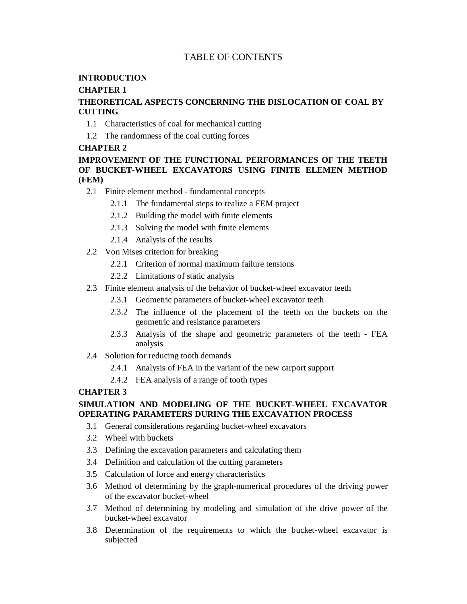# TABLE OF CONTENTS

#### **INTRODUCTION**

#### **CHAPTER 1**

#### **THEORETICAL ASPECTS CONCERNING THE DISLOCATION OF COAL BY CUTTING**

- 1.1 Characteristics of coal for mechanical cutting
- 1.2 The randomness of the coal cutting forces

#### **CHAPTER 2**

### **IMPROVEMENT OF THE FUNCTIONAL PERFORMANCES OF THE TEETH OF BUCKET-WHEEL EXCAVATORS USING FINITE ELEMEN METHOD (FEM)**

- 2.1 Finite element method fundamental concepts
	- 2.1.1 The fundamental steps to realize a FEM project
	- 2.1.2 Building the model with finite elements
	- 2.1.3 Solving the model with finite elements
	- 2.1.4 Analysis of the results
- 2.2 Von Mises criterion for breaking
	- 2.2.1 Criterion of normal maximum failure tensions
	- 2.2.2 Limitations of static analysis
- 2.3 Finite element analysis of the behavior of bucket-wheel excavator teeth
	- 2.3.1 Geometric parameters of bucket-wheel excavator teeth
	- 2.3.2 The influence of the placement of the teeth on the buckets on the geometric and resistance parameters
	- 2.3.3 Analysis of the shape and geometric parameters of the teeth FEA analysis
- 2.4 Solution for reducing tooth demands
	- 2.4.1 Analysis of FEA in the variant of the new carport support
	- 2.4.2 FEA analysis of a range of tooth types

#### **CHAPTER 3**

#### **SIMULATION AND MODELING OF THE BUCKET-WHEEL EXCAVATOR OPERATING PARAMETERS DURING THE EXCAVATION PROCESS**

- 3.1 General considerations regarding bucket-wheel excavators
- 3.2 Wheel with buckets
- 3.3 Defining the excavation parameters and calculating them
- 3.4 Definition and calculation of the cutting parameters
- 3.5 Calculation of force and energy characteristics
- 3.6 Method of determining by the graph-numerical procedures of the driving power of the excavator bucket-wheel
- 3.7 Method of determining by modeling and simulation of the drive power of the bucket-wheel excavator
- 3.8 Determination of the requirements to which the bucket-wheel excavator is subjected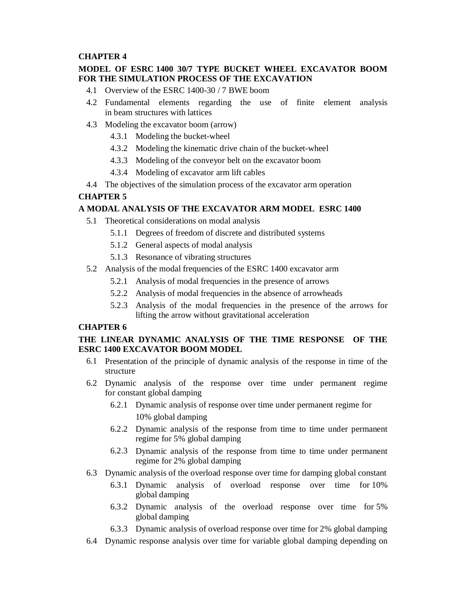#### **CHAPTER 4**

#### **MODEL OF ESRC 1400 30/7 TYPE BUCKET WHEEL EXCAVATOR BOOM FOR THE SIMULATION PROCESS OF THE EXCAVATION**

- 4.1 Overview of the ESRC 1400-30 / 7 BWE boom
- 4.2 Fundamental elements regarding the use of finite element analysis in beam structures with lattices
- 4.3 Modeling the excavator boom (arrow)
	- 4.3.1 Modeling the bucket-wheel
	- 4.3.2 Modeling the kinematic drive chain of the bucket-wheel
	- 4.3.3 Modeling of the conveyor belt on the excavator boom
	- 4.3.4 Modeling of excavator arm lift cables
- 4.4 The objectives of the simulation process of the excavator arm operation

#### **CHAPTER 5**

#### **A MODAL ANALYSIS OF THE EXCAVATOR ARM MODEL ESRC 1400**

- 5.1 Theoretical considerations on modal analysis
	- 5.1.1 Degrees of freedom of discrete and distributed systems
	- 5.1.2 General aspects of modal analysis
	- 5.1.3 Resonance of vibrating structures
- 5.2 Analysis of the modal frequencies of the ESRC 1400 excavator arm
	- 5.2.1 Analysis of modal frequencies in the presence of arrows
	- 5.2.2 Analysis of modal frequencies in the absence of arrowheads
	- 5.2.3 Analysis of the modal frequencies in the presence of the arrows for lifting the arrow without gravitational acceleration

#### **CHAPTER 6**

#### **THE LINEAR DYNAMIC ANALYSIS OF THE TIME RESPONSE OF THE ESRC 1400 EXCAVATOR BOOM MODEL**

- 6.1 Presentation of the principle of dynamic analysis of the response in time of the structure
- 6.2 Dynamic analysis of the response over time under permanent regime for constant global damping
	- 6.2.1 Dynamic analysis of response over time under permanent regime for 10% global damping
	- 6.2.2 Dynamic analysis of the response from time to time under permanent regime for 5% global damping
	- 6.2.3 Dynamic analysis of the response from time to time under permanent regime for 2% global damping
- 6.3 Dynamic analysis of the overload response over time for damping global constant
	- 6.3.1 Dynamic analysis of overload response over time for 10% global damping
	- 6.3.2 Dynamic analysis of the overload response over time for 5% global damping
	- 6.3.3 Dynamic analysis of overload response over time for 2% global damping
- 6.4 Dynamic response analysis over time for variable global damping depending on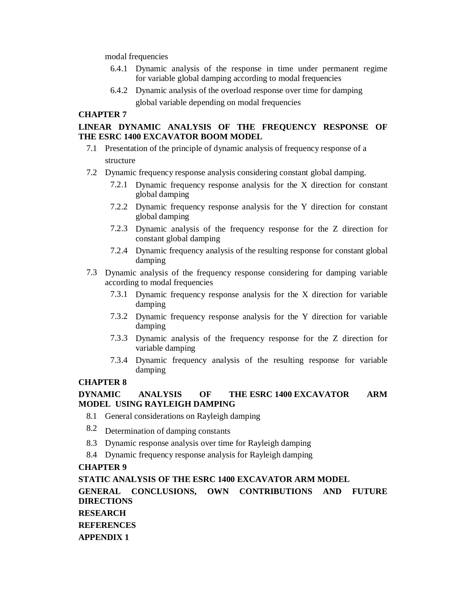modal frequencies

- 6.4.1 Dynamic analysis of the response in time under permanent regime for variable global damping according to modal frequencies
- 6.4.2 Dynamic analysis of the overload response over time for damping global variable depending on modal frequencies

#### **CHAPTER 7**

#### **LINEAR DYNAMIC ANALYSIS OF THE FREQUENCY RESPONSE OF THE ESRC 1400 EXCAVATOR BOOM MODEL**

- 7.1 Presentation of the principle of dynamic analysis of frequency response of a structure
- 7.2 Dynamic frequency response analysis considering constant global damping.
	- 7.2.1 Dynamic frequency response analysis for the X direction for constant global damping
	- 7.2.2 Dynamic frequency response analysis for the Y direction for constant global damping
	- 7.2.3 Dynamic analysis of the frequency response for the Z direction for constant global damping
	- 7.2.4 Dynamic frequency analysis of the resulting response for constant global damping
- 7.3 Dynamic analysis of the frequency response considering for damping variable according to modal frequencies
	- 7.3.1 Dynamic frequency response analysis for the X direction for variable damping
	- 7.3.2 Dynamic frequency response analysis for the Y direction for variable damping
	- 7.3.3 Dynamic analysis of the frequency response for the Z direction for variable damping
	- 7.3.4 Dynamic frequency analysis of the resulting response for variable damping

# **CHAPTER 8**

### **DYNAMIC ANALYSIS OF THE ESRC 1400 EXCAVATOR ARM MODEL USING RAYLEIGH DAMPING**

- 8.1 General considerations on Rayleigh damping
- 8.2 Determination of damping constants
- 8.3 Dynamic response analysis over time for Rayleigh damping
- 8.4 Dynamic frequency response analysis for Rayleigh damping

#### **CHAPTER 9**

**STATIC ANALYSIS OF THE ESRC 1400 EXCAVATOR ARM MODEL**

**GENERAL CONCLUSIONS, OWN CONTRIBUTIONS AND FUTURE DIRECTIONS RESEARCH**

**REFERENCES**

**APPENDIX 1**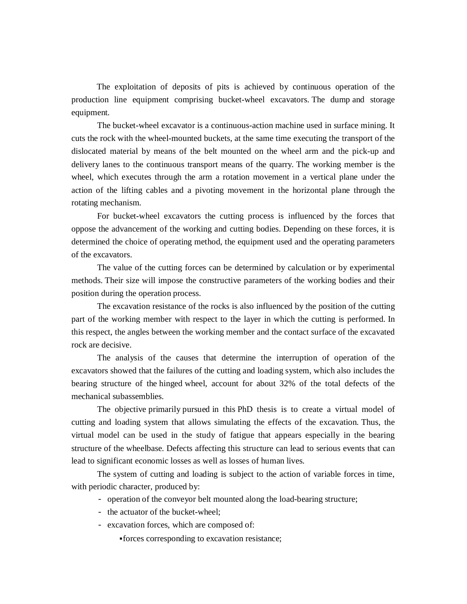The exploitation of deposits of pits is achieved by continuous operation of the production line equipment comprising bucket-wheel excavators. The dump and storage equipment.

The bucket-wheel excavator is a continuous-action machine used in surface mining. It cuts the rock with the wheel-mounted buckets, at the same time executing the transport of the dislocated material by means of the belt mounted on the wheel arm and the pick-up and delivery lanes to the continuous transport means of the quarry. The working member is the wheel, which executes through the arm a rotation movement in a vertical plane under the action of the lifting cables and a pivoting movement in the horizontal plane through the rotating mechanism.

For bucket-wheel excavators the cutting process is influenced by the forces that oppose the advancement of the working and cutting bodies. Depending on these forces, it is determined the choice of operating method, the equipment used and the operating parameters of the excavators.

The value of the cutting forces can be determined by calculation or by experimental methods. Their size will impose the constructive parameters of the working bodies and their position during the operation process.

The excavation resistance of the rocks is also influenced by the position of the cutting part of the working member with respect to the layer in which the cutting is performed. In this respect, the angles between the working member and the contact surface of the excavated rock are decisive.

The analysis of the causes that determine the interruption of operation of the excavators showed that the failures of the cutting and loading system, which also includes the bearing structure of the hinged wheel, account for about 32% of the total defects of the mechanical subassemblies.

The objective primarily pursued in this PhD thesis is to create a virtual model of cutting and loading system that allows simulating the effects of the excavation. Thus, the virtual model can be used in the study of fatigue that appears especially in the bearing structure of the wheelbase. Defects affecting this structure can lead to serious events that can lead to significant economic losses as well as losses of human lives.

The system of cutting and loading is subject to the action of variable forces in time, with periodic character, produced by:

- operation of the conveyor belt mounted along the load-bearing structure;
- the actuator of the bucket-wheel;
- excavation forces, which are composed of:
	- forces corresponding to excavation resistance;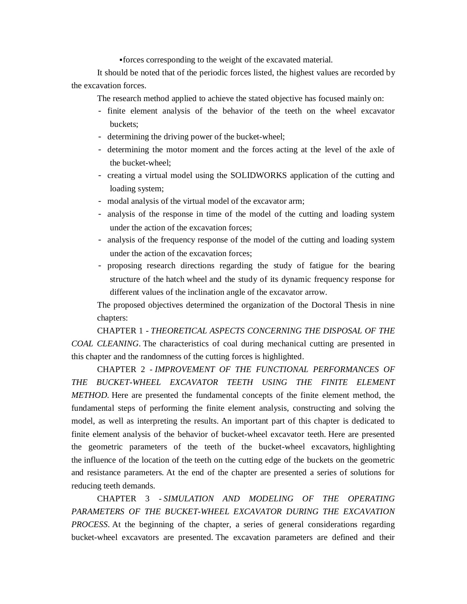forces corresponding to the weight of the excavated material.

It should be noted that of the periodic forces listed, the highest values are recorded by the excavation forces.

The research method applied to achieve the stated objective has focused mainly on:

- finite element analysis of the behavior of the teeth on the wheel excavator buckets;
- determining the driving power of the bucket-wheel;
- determining the motor moment and the forces acting at the level of the axle of the bucket-wheel;
- creating a virtual model using the SOLIDWORKS application of the cutting and loading system;
- modal analysis of the virtual model of the excavator arm;
- analysis of the response in time of the model of the cutting and loading system under the action of the excavation forces;
- analysis of the frequency response of the model of the cutting and loading system under the action of the excavation forces;
- proposing research directions regarding the study of fatigue for the bearing structure of the hatch wheel and the study of its dynamic frequency response for different values of the inclination angle of the excavator arrow.

The proposed objectives determined the organization of the Doctoral Thesis in nine chapters:

CHAPTER 1 - *THEORETICAL ASPECTS CONCERNING THE DISPOSAL OF THE COAL CLEANING*. The characteristics of coal during mechanical cutting are presented in this chapter and the randomness of the cutting forces is highlighted.

CHAPTER 2 - *IMPROVEMENT OF THE FUNCTIONAL PERFORMANCES OF THE BUCKET-WHEEL EXCAVATOR TEETH USING THE FINITE ELEMENT METHOD.* Here are presented the fundamental concepts of the finite element method, the fundamental steps of performing the finite element analysis, constructing and solving the model, as well as interpreting the results. An important part of this chapter is dedicated to finite element analysis of the behavior of bucket-wheel excavator teeth. Here are presented the geometric parameters of the teeth of the bucket-wheel excavators, highlighting the influence of the location of the teeth on the cutting edge of the buckets on the geometric and resistance parameters. At the end of the chapter are presented a series of solutions for reducing teeth demands.

CHAPTER 3 - *SIMULATION AND MODELING OF THE OPERATING PARAMETERS OF THE BUCKET-WHEEL EXCAVATOR DURING THE EXCAVATION PROCESS*. At the beginning of the chapter, a series of general considerations regarding bucket-wheel excavators are presented. The excavation parameters are defined and their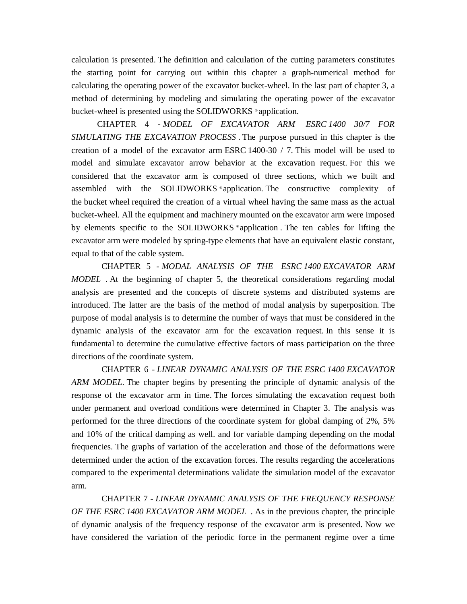calculation is presented. The definition and calculation of the cutting parameters constitutes the starting point for carrying out within this chapter a graph-numerical method for calculating the operating power of the excavator bucket-wheel. In the last part of chapter 3, a method of determining by modeling and simulating the operating power of the excavator bucket-wheel is presented using the SOLIDWORKS ® application.

CHAPTER 4 - *MODEL OF EXCAVATOR ARM ESRC 1400 30/7 FOR SIMULATING THE EXCAVATION PROCESS* . The purpose pursued in this chapter is the creation of a model of the excavator arm ESRC 1400-30 / 7. This model will be used to model and simulate excavator arrow behavior at the excavation request. For this we considered that the excavator arm is composed of three sections, which we built and assembled with the SOLIDWORKS ® application. The constructive complexity of the bucket wheel required the creation of a virtual wheel having the same mass as the actual bucket-wheel. All the equipment and machinery mounted on the excavator arm were imposed by elements specific to the SOLIDWORKS ® application . The ten cables for lifting the excavator arm were modeled by spring-type elements that have an equivalent elastic constant, equal to that of the cable system.

 CHAPTER 5 - *MODAL ANALYSIS OF THE ESRC 1400 EXCAVATOR ARM MODEL* . At the beginning of chapter 5, the theoretical considerations regarding modal analysis are presented and the concepts of discrete systems and distributed systems are introduced. The latter are the basis of the method of modal analysis by superposition. The purpose of modal analysis is to determine the number of ways that must be considered in the dynamic analysis of the excavator arm for the excavation request. In this sense it is fundamental to determine the cumulative effective factors of mass participation on the three directions of the coordinate system.

 CHAPTER 6 - *LINEAR DYNAMIC ANALYSIS OF THE ESRC 1400 EXCAVATOR ARM MODEL*. The chapter begins by presenting the principle of dynamic analysis of the response of the excavator arm in time. The forces simulating the excavation request both under permanent and overload conditions were determined in Chapter 3. The analysis was performed for the three directions of the coordinate system for global damping of 2%, 5% and 10% of the critical damping as well. and for variable damping depending on the modal frequencies. The graphs of variation of the acceleration and those of the deformations were determined under the action of the excavation forces. The results regarding the accelerations compared to the experimental determinations validate the simulation model of the excavator arm.

 CHAPTER 7 - *LINEAR DYNAMIC ANALYSIS OF THE FREQUENCY RESPONSE OF THE ESRC 1400 EXCAVATOR ARM MODEL* . As in the previous chapter, the principle of dynamic analysis of the frequency response of the excavator arm is presented. Now we have considered the variation of the periodic force in the permanent regime over a time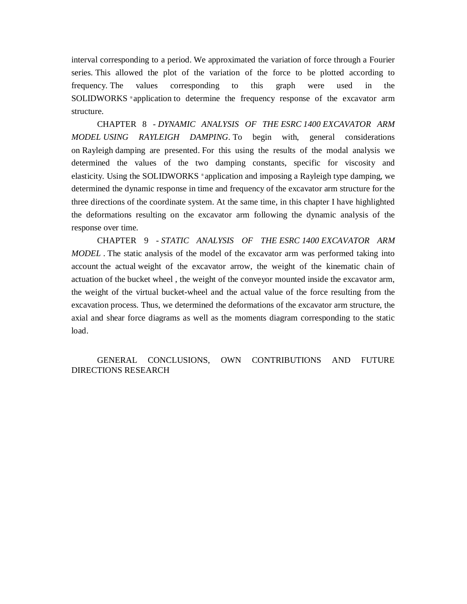interval corresponding to a period. We approximated the variation of force through a Fourier series. This allowed the plot of the variation of the force to be plotted according to frequency. The values corresponding to this graph were used in the SOLIDWORKS ® application to determine the frequency response of the excavator arm structure.

CHAPTER 8 - *DYNAMIC ANALYSIS OF THE ESRC 1400 EXCAVATOR ARM MODEL USING RAYLEIGH DAMPING*. To begin with, general considerations on Rayleigh damping are presented. For this using the results of the modal analysis we determined the values of the two damping constants, specific for viscosity and elasticity. Using the SOLIDWORKS ® application and imposing a Rayleigh type damping, we determined the dynamic response in time and frequency of the excavator arm structure for the three directions of the coordinate system. At the same time, in this chapter I have highlighted the deformations resulting on the excavator arm following the dynamic analysis of the response over time.

CHAPTER 9 - *STATIC ANALYSIS OF THE ESRC 1400 EXCAVATOR ARM MODEL* . The static analysis of the model of the excavator arm was performed taking into account the actual weight of the excavator arrow, the weight of the kinematic chain of actuation of the bucket wheel , the weight of the conveyor mounted inside the excavator arm, the weight of the virtual bucket-wheel and the actual value of the force resulting from the excavation process. Thus, we determined the deformations of the excavator arm structure, the axial and shear force diagrams as well as the moments diagram corresponding to the static load.

GENERAL CONCLUSIONS, OWN CONTRIBUTIONS AND FUTURE DIRECTIONS RESEARCH